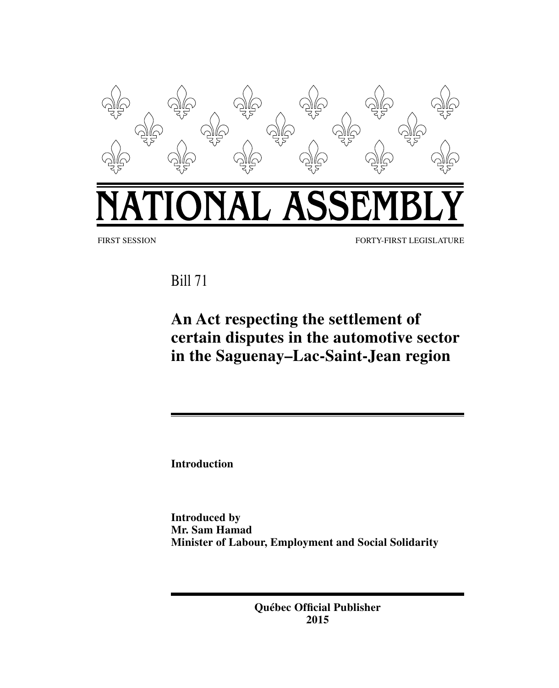

Bill 71

# **An Act respecting the settlement of certain disputes in the automotive sector in the Saguenay–Lac-Saint-Jean region**

**Introduction**

**Introduced by Mr. Sam Hamad Minister of Labour, Employment and Social Solidarity**

> **Québec Official Publisher 2015**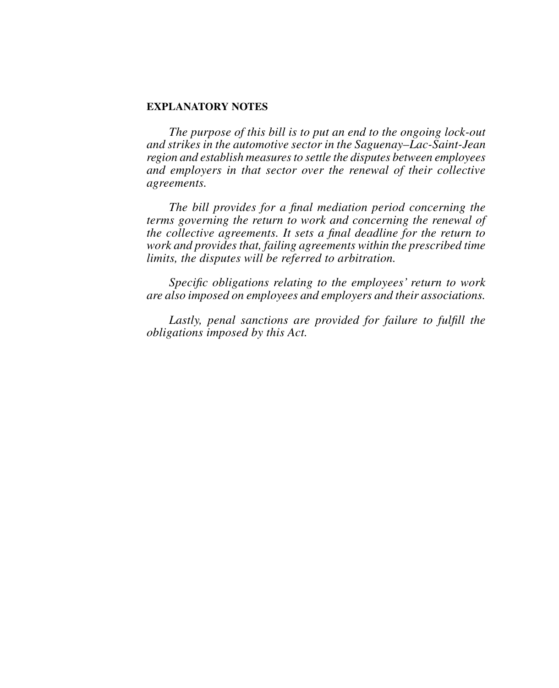# **EXPLANATORY NOTES**

*The purpose of this bill is to put an end to the ongoing lock-out and strikes in the automotive sector in the Saguenay–Lac-Saint-Jean region and establish measures to settle the disputes between employees and employers in that sector over the renewal of their collective agreements.*

*The bill provides for a final mediation period concerning the terms governing the return to work and concerning the renewal of the collective agreements. It sets a final deadline for the return to work and provides that, failing agreements within the prescribed time limits, the disputes will be referred to arbitration.*

*Specific obligations relating to the employees' return to work are also imposed on employees and employers and their associations.*

Lastly, penal sanctions are provided for failure to fulfill the *obligations imposed by this Act.*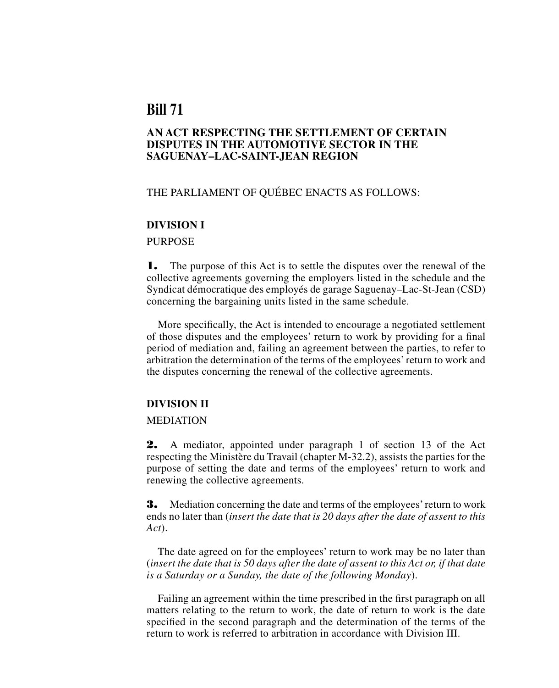# **Bill 71**

# **AN ACT RESPECTING THE SETTLEMENT OF CERTAIN DISPUTES IN THE AUTOMOTIVE SECTOR IN THE SAGUENAY-LAC-SAINT-JEAN REGION**

# THE PARLIAMENT OF QUÉBEC ENACTS AS FOLLOWS:

#### **DIVISION I**

# PURPOSE

1. The purpose of this Act is to settle the disputes over the renewal of the collective agreements governing the employers listed in the schedule and the Syndicat démocratique des employés de garage Saguenay–Lac-St-Jean (CSD) concerning the bargaining units listed in the same schedule.

More specifically, the Act is intended to encourage a negotiated settlement of those disputes and the employees' return to work by providing for a final period of mediation and, failing an agreement between the parties, to refer to arbitration the determination of the terms of the employees' return to work and the disputes concerning the renewal of the collective agreements.

# **DIVISION II**

#### MEDIATION

2. A mediator, appointed under paragraph 1 of section 13 of the Act respecting the Ministère du Travail (chapter M-32.2), assists the parties for the purpose of setting the date and terms of the employees' return to work and renewing the collective agreements.

**3.** Mediation concerning the date and terms of the employees' return to work ends no later than (*insert the date that is 20 days after the date of assent to this Act*).

The date agreed on for the employees' return to work may be no later than (*insert the date that is 50 days after the date of assent to this Act or, if that date is a Saturday or a Sunday, the date of the following Monday*).

Failing an agreement within the time prescribed in the first paragraph on all matters relating to the return to work, the date of return to work is the date specified in the second paragraph and the determination of the terms of the return to work is referred to arbitration in accordance with Division III.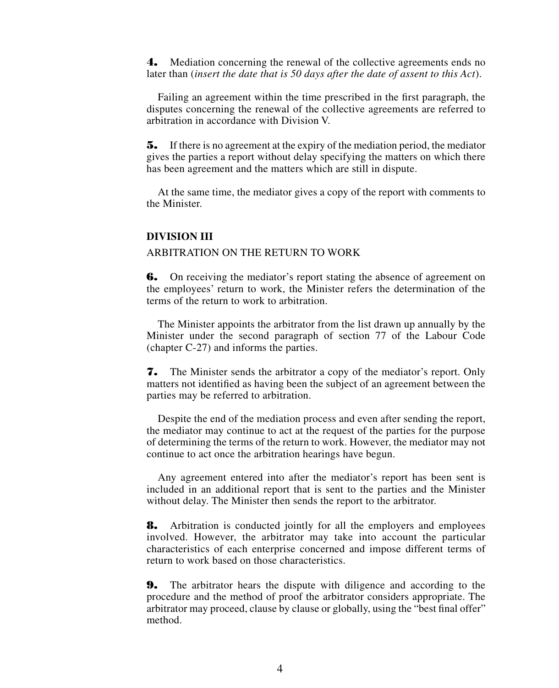4. Mediation concerning the renewal of the collective agreements ends no later than (*insert the date that is 50 days after the date of assent to this Act*).

Failing an agreement within the time prescribed in the first paragraph, the disputes concerning the renewal of the collective agreements are referred to arbitration in accordance with Division V.

5. If there is no agreement at the expiry of the mediation period, the mediator gives the parties a report without delay specifying the matters on which there has been agreement and the matters which are still in dispute.

At the same time, the mediator gives a copy of the report with comments to the Minister.

# **DIVISION III**

# ARBITRATION ON THE RETURN TO WORK

**6.** On receiving the mediator's report stating the absence of agreement on the employees' return to work, the Minister refers the determination of the terms of the return to work to arbitration.

The Minister appoints the arbitrator from the list drawn up annually by the Minister under the second paragraph of section 77 of the Labour Code (chapter C-27) and informs the parties.

7. The Minister sends the arbitrator a copy of the mediator's report. Only matters not identified as having been the subject of an agreement between the parties may be referred to arbitration.

Despite the end of the mediation process and even after sending the report, the mediator may continue to act at the request of the parties for the purpose of determining the terms of the return to work. However, the mediator may not continue to act once the arbitration hearings have begun.

Any agreement entered into after the mediator's report has been sent is included in an additional report that is sent to the parties and the Minister without delay. The Minister then sends the report to the arbitrator.

8. Arbitration is conducted jointly for all the employers and employees involved. However, the arbitrator may take into account the particular characteristics of each enterprise concerned and impose different terms of return to work based on those characteristics.

9. The arbitrator hears the dispute with diligence and according to the procedure and the method of proof the arbitrator considers appropriate. The arbitrator may proceed, clause by clause or globally, using the "best final offer" method.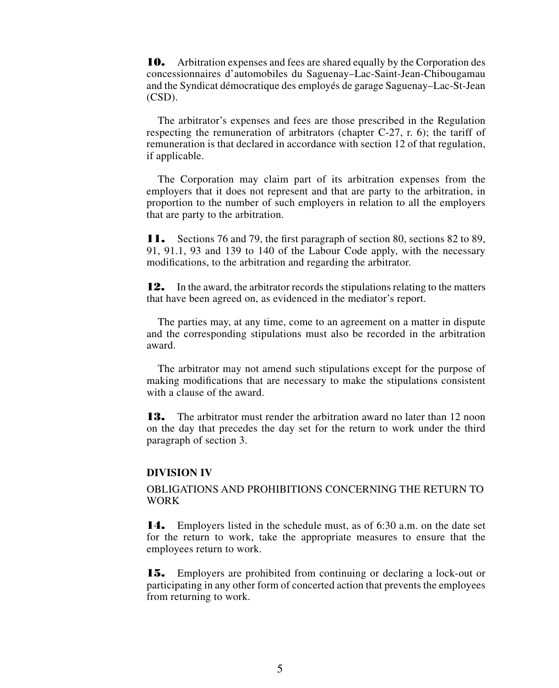10. Arbitration expenses and fees are shared equally by the Corporation des concessionnaires d'automobiles du Saguenay–Lac-Saint-Jean-Chibougamau and the Syndicat démocratique des employés de garage Saguenay–Lac-St-Jean (CSD).

The arbitrator's expenses and fees are those prescribed in the Regulation respecting the remuneration of arbitrators (chapter C-27, r. 6); the tariff of remuneration is that declared in accordance with section 12 of that regulation, if applicable.

The Corporation may claim part of its arbitration expenses from the employers that it does not represent and that are party to the arbitration, in proportion to the number of such employers in relation to all the employers that are party to the arbitration.

11. Sections 76 and 79, the first paragraph of section 80, sections 82 to 89, 91, 91.1, 93 and 139 to 140 of the Labour Code apply, with the necessary modifications, to the arbitration and regarding the arbitrator.

12. In the award, the arbitrator records the stipulations relating to the matters that have been agreed on, as evidenced in the mediator's report.

The parties may, at any time, come to an agreement on a matter in dispute and the corresponding stipulations must also be recorded in the arbitration award.

The arbitrator may not amend such stipulations except for the purpose of making modifications that are necessary to make the stipulations consistent with a clause of the award.

**13.** The arbitrator must render the arbitration award no later than 12 noon on the day that precedes the day set for the return to work under the third paragraph of section 3.

#### **DIVISION IV**

OBLIGATIONS AND PROHIBITIONS CONCERNING THE RETURN TO WORK

14. Employers listed in the schedule must, as of 6:30 a.m. on the date set for the return to work, take the appropriate measures to ensure that the employees return to work.

15. Employers are prohibited from continuing or declaring a lock-out or participating in any other form of concerted action that prevents the employees from returning to work.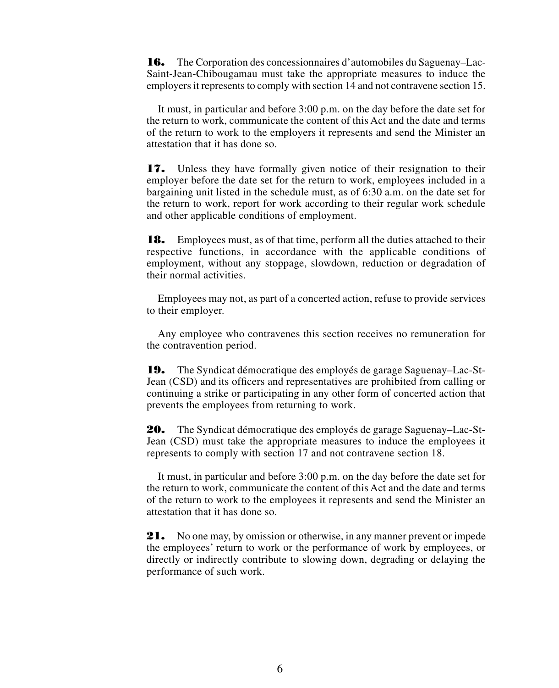16. The Corporation des concessionnaires d'automobiles du Saguenay–Lac-Saint-Jean-Chibougamau must take the appropriate measures to induce the employers it represents to comply with section 14 and not contravene section 15.

It must, in particular and before 3:00 p.m. on the day before the date set for the return to work, communicate the content of this Act and the date and terms of the return to work to the employers it represents and send the Minister an attestation that it has done so.

17. Unless they have formally given notice of their resignation to their employer before the date set for the return to work, employees included in a bargaining unit listed in the schedule must, as of 6:30 a.m. on the date set for the return to work, report for work according to their regular work schedule and other applicable conditions of employment.

**18.** Employees must, as of that time, perform all the duties attached to their respective functions, in accordance with the applicable conditions of employment, without any stoppage, slowdown, reduction or degradation of their normal activities.

Employees may not, as part of a concerted action, refuse to provide services to their employer.

Any employee who contravenes this section receives no remuneration for the contravention period.

19. The Syndicat démocratique des employés de garage Saguenay–Lac-St-Jean (CSD) and its officers and representatives are prohibited from calling or continuing a strike or participating in any other form of concerted action that prevents the employees from returning to work.

20. The Syndicat démocratique des employés de garage Saguenay–Lac-St-Jean (CSD) must take the appropriate measures to induce the employees it represents to comply with section 17 and not contravene section 18.

It must, in particular and before 3:00 p.m. on the day before the date set for the return to work, communicate the content of this Act and the date and terms of the return to work to the employees it represents and send the Minister an attestation that it has done so.

21. No one may, by omission or otherwise, in any manner prevent or impede the employees' return to work or the performance of work by employees, or directly or indirectly contribute to slowing down, degrading or delaying the performance of such work.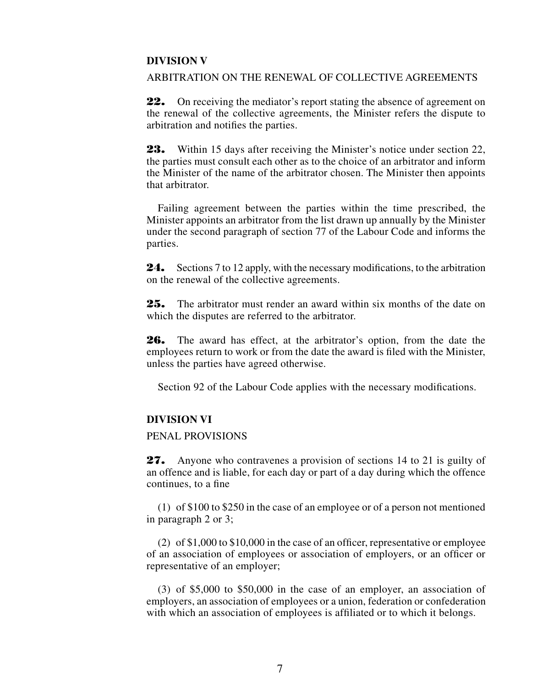# **DIVISION V**

# ARBITRATION ON THE RENEWAL OF COLLECTIVE AGREEMENTS

22. On receiving the mediator's report stating the absence of agreement on the renewal of the collective agreements, the Minister refers the dispute to arbitration and notifies the parties.

23. Within 15 days after receiving the Minister's notice under section 22, the parties must consult each other as to the choice of an arbitrator and inform the Minister of the name of the arbitrator chosen. The Minister then appoints that arbitrator.

Failing agreement between the parties within the time prescribed, the Minister appoints an arbitrator from the list drawn up annually by the Minister under the second paragraph of section 77 of the Labour Code and informs the parties.

24. Sections 7 to 12 apply, with the necessary modifications, to the arbitration on the renewal of the collective agreements.

25. The arbitrator must render an award within six months of the date on which the disputes are referred to the arbitrator.

26. The award has effect, at the arbitrator's option, from the date the employees return to work or from the date the award is filed with the Minister, unless the parties have agreed otherwise.

Section 92 of the Labour Code applies with the necessary modifications.

# **DIVISION VI**

# PENAL PROVISIONS

27. Anyone who contravenes a provision of sections 14 to 21 is guilty of an offence and is liable, for each day or part of a day during which the offence continues, to a fine

(1) of \$100 to \$250 in the case of an employee or of a person not mentioned in paragraph 2 or 3;

(2) of \$1,000 to \$10,000 in the case of an officer, representative or employee of an association of employees or association of employers, or an officer or representative of an employer;

(3) of \$5,000 to \$50,000 in the case of an employer, an association of employers, an association of employees or a union, federation or confederation with which an association of employees is affiliated or to which it belongs.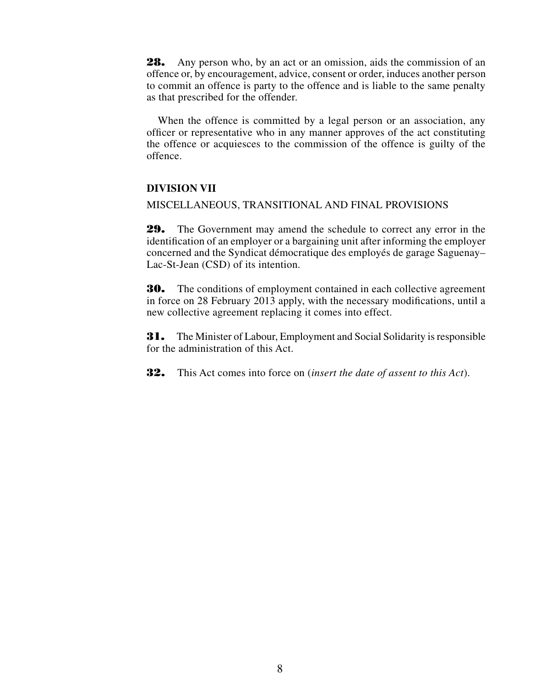28. Any person who, by an act or an omission, aids the commission of an offence or, by encouragement, advice, consent or order, induces another person to commit an offence is party to the offence and is liable to the same penalty as that prescribed for the offender.

When the offence is committed by a legal person or an association, any officer or representative who in any manner approves of the act constituting the offence or acquiesces to the commission of the offence is guilty of the offence.

# **DIVISION VII**

#### MISCELLANEOUS, TRANSITIONAL AND FINAL PROVISIONS

29. The Government may amend the schedule to correct any error in the identification of an employer or a bargaining unit after informing the employer concerned and the Syndicat démocratique des employés de garage Saguenay– Lac-St-Jean (CSD) of its intention.

**30.** The conditions of employment contained in each collective agreement in force on 28 February 2013 apply, with the necessary modifications, until a new collective agreement replacing it comes into effect.

31. The Minister of Labour, Employment and Social Solidarity is responsible for the administration of this Act.

32. This Act comes into force on (*insert the date of assent to this Act*).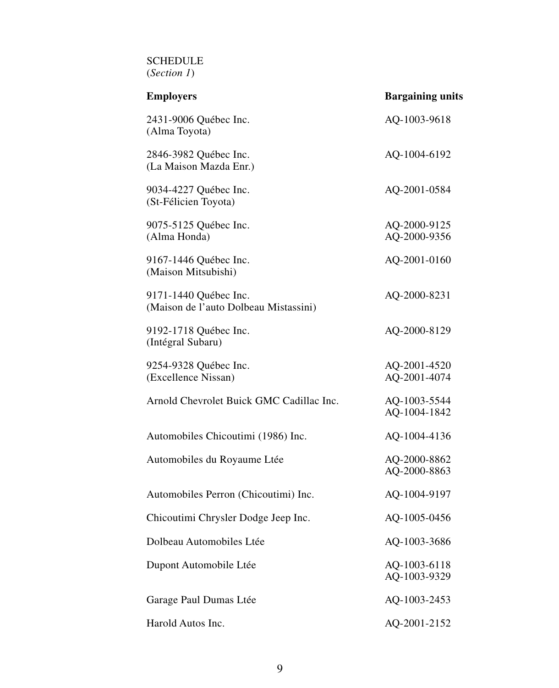SCHEDULE (*Section 1*)

| <b>Employers</b>                                               | <b>Bargaining units</b>      |
|----------------------------------------------------------------|------------------------------|
| 2431-9006 Québec Inc.<br>(Alma Toyota)                         | AQ-1003-9618                 |
| 2846-3982 Québec Inc.<br>(La Maison Mazda Enr.)                | AQ-1004-6192                 |
| 9034-4227 Québec Inc.<br>(St-Félicien Toyota)                  | AQ-2001-0584                 |
| 9075-5125 Québec Inc.<br>(Alma Honda)                          | AQ-2000-9125<br>AQ-2000-9356 |
| 9167-1446 Québec Inc.<br>(Maison Mitsubishi)                   | AQ-2001-0160                 |
| 9171-1440 Québec Inc.<br>(Maison de l'auto Dolbeau Mistassini) | AQ-2000-8231                 |
| 9192-1718 Québec Inc.<br>(Intégral Subaru)                     | AQ-2000-8129                 |
| 9254-9328 Québec Inc.<br>(Excellence Nissan)                   | AQ-2001-4520<br>AQ-2001-4074 |
| Arnold Chevrolet Buick GMC Cadillac Inc.                       | AQ-1003-5544<br>AQ-1004-1842 |
| Automobiles Chicoutimi (1986) Inc.                             | AQ-1004-4136                 |
| Automobiles du Royaume Ltée                                    | AQ-2000-8862<br>AQ-2000-8863 |
| Automobiles Perron (Chicoutimi) Inc.                           | AQ-1004-9197                 |
| Chicoutimi Chrysler Dodge Jeep Inc.                            | AQ-1005-0456                 |
| Dolbeau Automobiles Ltée                                       | AQ-1003-3686                 |
| Dupont Automobile Ltée                                         | AQ-1003-6118<br>AQ-1003-9329 |
| Garage Paul Dumas Ltée                                         | AQ-1003-2453                 |
| Harold Autos Inc.                                              | AQ-2001-2152                 |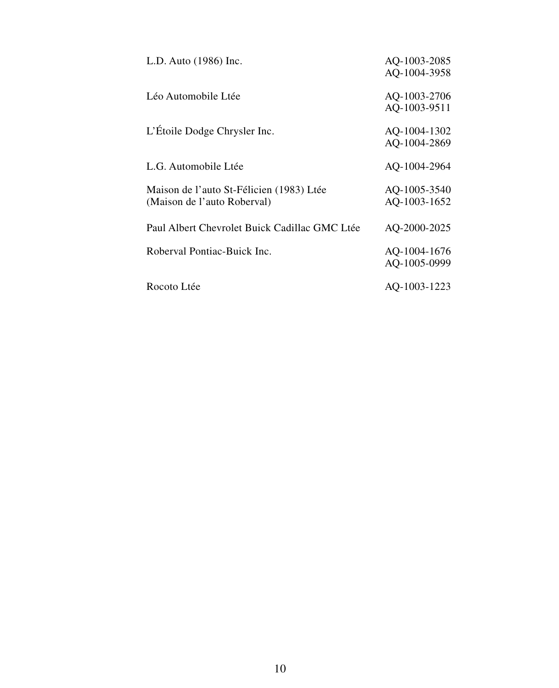| L.D. Auto (1986) Inc.                                                   | AQ-1003-2085<br>AQ-1004-3958 |
|-------------------------------------------------------------------------|------------------------------|
| Léo Automobile Ltée                                                     | AQ-1003-2706<br>AQ-1003-9511 |
| L'Étoile Dodge Chrysler Inc.                                            | AQ-1004-1302<br>AQ-1004-2869 |
| L.G. Automobile Ltée                                                    | AQ-1004-2964                 |
| Maison de l'auto St-Félicien (1983) Ltée<br>(Maison de l'auto Roberval) | AQ-1005-3540<br>AQ-1003-1652 |
| Paul Albert Chevrolet Buick Cadillac GMC Ltée                           | AQ-2000-2025                 |
| Roberval Pontiac-Buick Inc.                                             | AQ-1004-1676<br>AQ-1005-0999 |
| Rocoto Ltée                                                             | AQ-1003-1223                 |